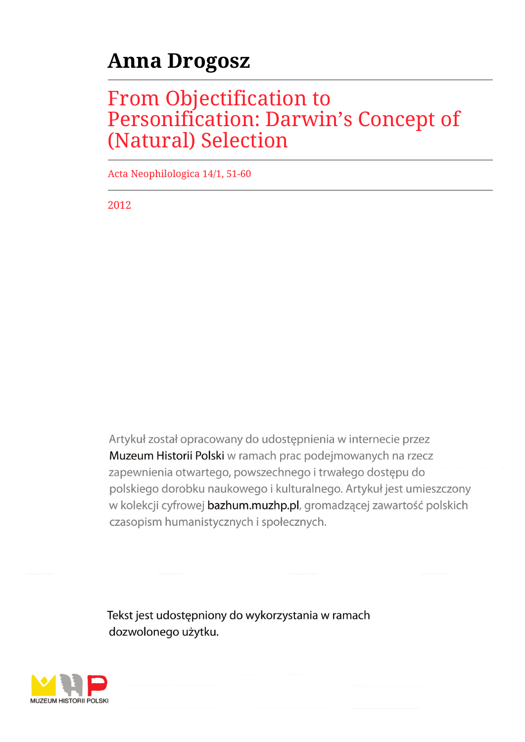# **Anna Drogosz**

# From Objectification to Personification: Darwin's Concept of (Natural) Selection

Acta Neophilologica 14/1, 51-60

2012

Artykuł został opracowany do udostępnienia w internecie przez Muzeum Historii Polski w ramach prac podejmowanych na rzecz zapewnienia otwartego, powszechnego i trwałego dostępu do polskiego dorobku naukowego i kulturalnego. Artykuł jest umieszczony w kolekcji cyfrowej bazhum.muzhp.pl, gromadzącej zawartość polskich czasopism humanistycznych i społecznych.

Tekst jest udostępniony do wykorzystania w ramach dozwolonego użytku.

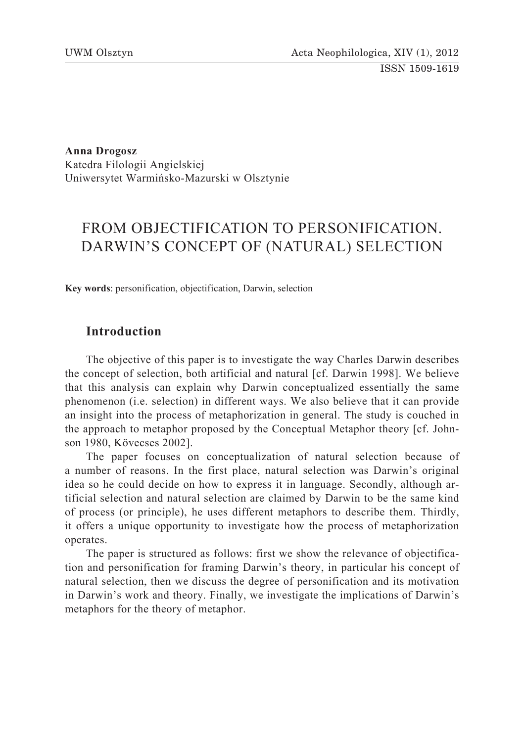ISSN 1509-1619

**Anna Drogosz** Katedra Filologii Angielskiej Uniwersytet Warmińsko-Mazurski w Olsztynie

# FROM OBJECTIFICATION TO PERSONIFICATION. DARWIN'S CONCEPT OF (NATURAL) SELECTION

**Key words**: personification, objectification, Darwin, selection

# **Introduction**

The objective of this paper is to investigate the way Charles Darwin describes the concept of selection, both artificial and natural [cf. Darwin 1998]. We believe that this analysis can explain why Darwin conceptualized essentially the same phenomenon (i.e. selection) in different ways. We also believe that it can provide an insight into the process of metaphorization in general. The study is couched in the approach to metaphor proposed by the Conceptual Metaphor theory [cf. Johnson 1980, Kövecses 2002].

The paper focuses on conceptualization of natural selection because of a number of reasons. In the first place, natural selection was Darwin's original idea so he could decide on how to express it in language. Secondly, although artificial selection and natural selection are claimed by Darwin to be the same kind of process (or principle), he uses different metaphors to describe them. Thirdly, it offers a unique opportunity to investigate how the process of metaphorization operates.

The paper is structured as follows: first we show the relevance of objectification and personification for framing Darwin's theory, in particular his concept of natural selection, then we discuss the degree of personification and its motivation in Darwin's work and theory. Finally, we investigate the implications of Darwin's metaphors for the theory of metaphor.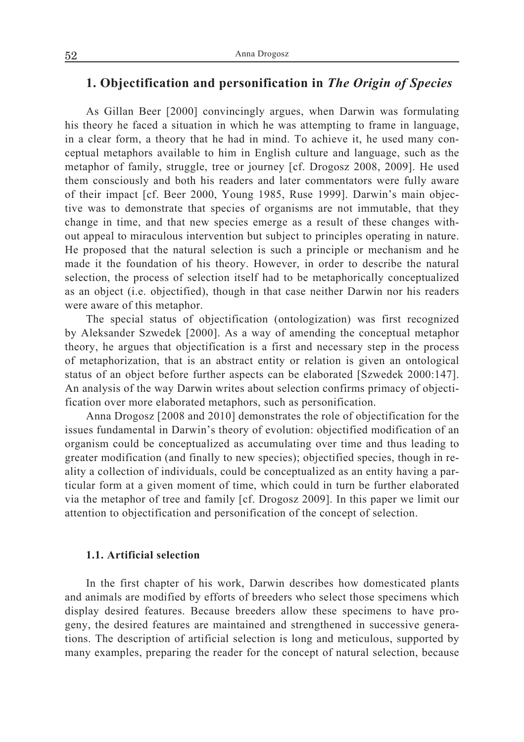# **1. Objectification and personification in** *The Origin of Species*

As Gillan Beer [2000] convincingly argues, when Darwin was formulating his theory he faced a situation in which he was attempting to frame in language, in a clear form, a theory that he had in mind. To achieve it, he used many conceptual metaphors available to him in English culture and language, such as the metaphor of family, struggle, tree or journey [cf. Drogosz 2008, 2009]. He used them consciously and both his readers and later commentators were fully aware of their impact [cf. Beer 2000, Young 1985, Ruse 1999]. Darwin's main objective was to demonstrate that species of organisms are not immutable, that they change in time, and that new species emerge as a result of these changes without appeal to miraculous intervention but subject to principles operating in nature. He proposed that the natural selection is such a principle or mechanism and he made it the foundation of his theory. However, in order to describe the natural selection, the process of selection itself had to be metaphorically conceptualized as an object (i.e. objectified), though in that case neither Darwin nor his readers were aware of this metaphor.

The special status of objectification (ontologization) was first recognized by Aleksander Szwedek [2000]. As a way of amending the conceptual metaphor theory, he argues that objectification is a first and necessary step in the process of metaphorization, that is an abstract entity or relation is given an ontological status of an object before further aspects can be elaborated [Szwedek 2000:147]. An analysis of the way Darwin writes about selection confirms primacy of objectification over more elaborated metaphors, such as personification.

Anna Drogosz [2008 and 2010] demonstrates the role of objectification for the issues fundamental in Darwin's theory of evolution: objectified modification of an organism could be conceptualized as accumulating over time and thus leading to greater modification (and finally to new species); objectified species, though in reality a collection of individuals, could be conceptualized as an entity having a particular form at a given moment of time, which could in turn be further elaborated via the metaphor of tree and family [cf. Drogosz 2009]. In this paper we limit our attention to objectification and personification of the concept of selection.

#### **1.1. Artificial selection**

In the first chapter of his work, Darwin describes how domesticated plants and animals are modified by efforts of breeders who select those specimens which display desired features. Because breeders allow these specimens to have progeny, the desired features are maintained and strengthened in successive generations. The description of artificial selection is long and meticulous, supported by many examples, preparing the reader for the concept of natural selection, because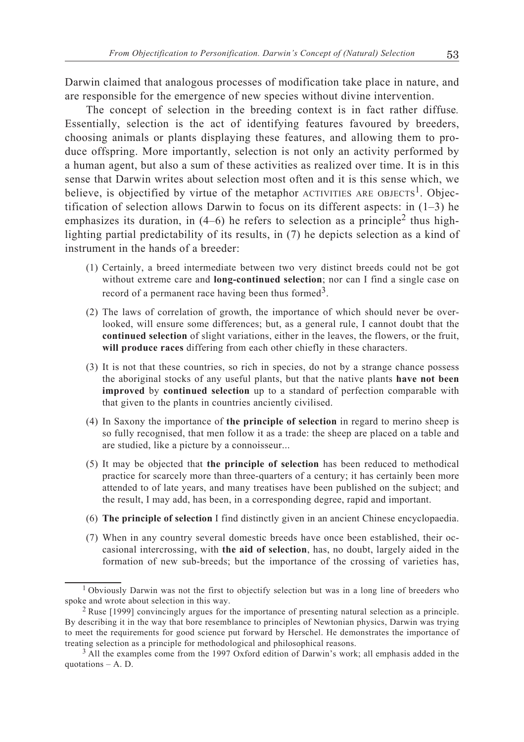Darwin claimed that analogous processes of modification take place in nature, and are responsible for the emergence of new species without divine intervention.

The concept of selection in the breeding context is in fact rather diffuse*.* Essentially, selection is the act of identifying features favoured by breeders, choosing animals or plants displaying these features, and allowing them to produce offspring. More importantly, selection is not only an activity performed by a human agent, but also a sum of these activities as realized over time. It is in this sense that Darwin writes about selection most often and it is this sense which, we believe, is objectified by virtue of the metaphor ACTIVITIES ARE OBJECTS<sup>1</sup>. Objectification of selection allows Darwin to focus on its different aspects: in  $(1-3)$  he emphasizes its duration, in  $(4-6)$  he refers to selection as a principle<sup>2</sup> thus highlighting partial predictability of its results, in (7) he depicts selection as a kind of instrument in the hands of a breeder:

- (1) Certainly, a breed intermediate between two very distinct breeds could not be got without extreme care and **long-continued selection**; nor can I find a single case on record of a permanent race having been thus formed<sup>3</sup>.
- (2) The laws of correlation of growth, the importance of which should never be overlooked, will ensure some differences; but, as a general rule, I cannot doubt that the **continued selection** of slight variations, either in the leaves, the flowers, or the fruit, **will produce races** differing from each other chiefly in these characters.
- (3) It is not that these countries, so rich in species, do not by a strange chance possess the aboriginal stocks of any useful plants, but that the native plants **have not been improved** by **continued selection** up to a standard of perfection comparable with that given to the plants in countries anciently civilised.
- (4) In Saxony the importance of **the principle of selection** in regard to merino sheep is so fully recognised, that men follow it as a trade: the sheep are placed on a table and are studied, like a picture by a connoisseur...
- (5) It may be objected that **the principle of selection** has been reduced to methodical practice for scarcely more than three-quarters of a century; it has certainly been more attended to of late years, and many treatises have been published on the subject; and the result, I may add, has been, in a corresponding degree, rapid and important.
- (6) **The principle of selection** I find distinctly given in an ancient Chinese encyclopaedia.
- (7) When in any country several domestic breeds have once been established, their occasional intercrossing, with **the aid of selection**, has, no doubt, largely aided in the formation of new sub-breeds; but the importance of the crossing of varieties has,

<sup>1</sup> Obviously Darwin was not the first to objectify selection but was in a long line of breeders who spoke and wrote about selection in this way.

<sup>2</sup> Ruse [1999] convincingly argues for the importance of presenting natural selection as a principle. By describing it in the way that bore resemblance to principles of Newtonian physics, Darwin was trying to meet the requirements for good science put forward by Herschel. He demonstrates the importance of treating selection as a principle for methodological and philosophical reasons. 3 All the examples come from the 1997 Oxford edition of Darwin's work; all emphasis added in the

quotations – A. D.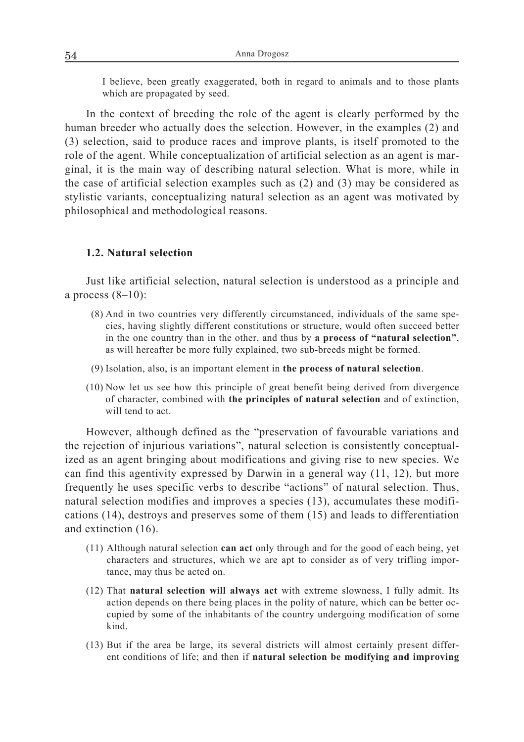I believe, been greatly exaggerated, both in regard to animals and to those plants which are propagated by seed.

In the context of breeding the role of the agent is clearly performed by the human breeder who actually does the selection. However, in the examples (2) and (3) selection, said to produce races and improve plants, is itself promoted to the role of the agent. While conceptualization of artificial selection as an agent is marginal, it is the main way of describing natural selection. What is more, while in the case of artificial selection examples such as (2) and (3) may be considered as stylistic variants, conceptualizing natural selection as an agent was motivated by philosophical and methodological reasons.

#### **1.2. Natural selection**

Just like artificial selection, natural selection is understood as a principle and a process  $(8-10)$ :

- (8) And in two countries very differently circumstanced, individuals of the same species, having slightly different constitutions or structure, would often succeed better in the one country than in the other, and thus by **a process of "natural selection"**, as will hereafter be more fully explained, two sub-breeds might be formed.
- (9) Isolation, also, is an important element in **the process of natural selection**.
- (10) Now let us see how this principle of great benefit being derived from divergence of character, combined with **the principles of natural selection** and of extinction, will tend to act.

However, although defined as the "preservation of favourable variations and the rejection of injurious variations", natural selection is consistently conceptualized as an agent bringing about modifications and giving rise to new species. We can find this agentivity expressed by Darwin in a general way (11, 12), but more frequently he uses specific verbs to describe "actions" of natural selection. Thus, natural selection modifies and improves a species (13), accumulates these modifications (14), destroys and preserves some of them (15) and leads to differentiation and extinction (16).

- (11) Although natural selection **can act** only through and for the good of each being, yet characters and structures, which we are apt to consider as of very trifling importance, may thus be acted on.
- (12) That **natural selection will always act** with extreme slowness, I fully admit. Its action depends on there being places in the polity of nature, which can be better occupied by some of the inhabitants of the country undergoing modification of some kind.
- (13) But if the area be large, its several districts will almost certainly present different conditions of life; and then if **natural selection be modifying and improving**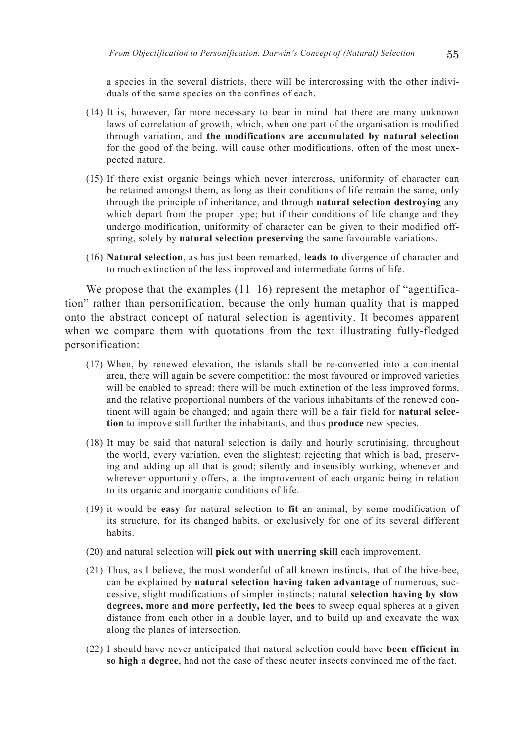a species in the several districts, there will be intercrossing with the other individuals of the same species on the confines of each.

- (14) It is, however, far more necessary to bear in mind that there are many unknown laws of correlation of growth, which, when one part of the organisation is modified through variation, and **the modifications are accumulated by natural selection** for the good of the being, will cause other modifications, often of the most unexpected nature.
- (15) If there exist organic beings which never intercross, uniformity of character can be retained amongst them, as long as their conditions of life remain the same, only through the principle of inheritance, and through **natural selection destroying** any which depart from the proper type; but if their conditions of life change and they undergo modification, uniformity of character can be given to their modified offspring, solely by **natural selection preserving** the same favourable variations.
- (16) **Natural selection**, as has just been remarked, **leads to** divergence of character and to much extinction of the less improved and intermediate forms of life.

We propose that the examples  $(11–16)$  represent the metaphor of "agentification" rather than personification, because the only human quality that is mapped onto the abstract concept of natural selection is agentivity. It becomes apparent when we compare them with quotations from the text illustrating fully-fledged personification:

- (17) When, by renewed elevation, the islands shall be re-converted into a continental area, there will again be severe competition: the most favoured or improved varieties will be enabled to spread: there will be much extinction of the less improved forms, and the relative proportional numbers of the various inhabitants of the renewed continent will again be changed; and again there will be a fair field for **natural selection** to improve still further the inhabitants, and thus **produce** new species.
- (18) It may be said that natural selection is daily and hourly scrutinising, throughout the world, every variation, even the slightest; rejecting that which is bad, preserving and adding up all that is good; silently and insensibly working, whenever and wherever opportunity offers, at the improvement of each organic being in relation to its organic and inorganic conditions of life.
- (19) it would be **easy** for natural selection to **fit** an animal, by some modification of its structure, for its changed habits, or exclusively for one of its several different habits.
- (20) and natural selection will **pick out with unerring skill** each improvement.
- (21) Thus, as I believe, the most wonderful of all known instincts, that of the hive-bee, can be explained by **natural selection having taken advantage** of numerous, successive, slight modifications of simpler instincts; natural **selection having by slow degrees, more and more perfectly, led the bees** to sweep equal spheres at a given distance from each other in a double layer, and to build up and excavate the wax along the planes of intersection.
- (22) I should have never anticipated that natural selection could have **been efficient in so high a degree**, had not the case of these neuter insects convinced me of the fact.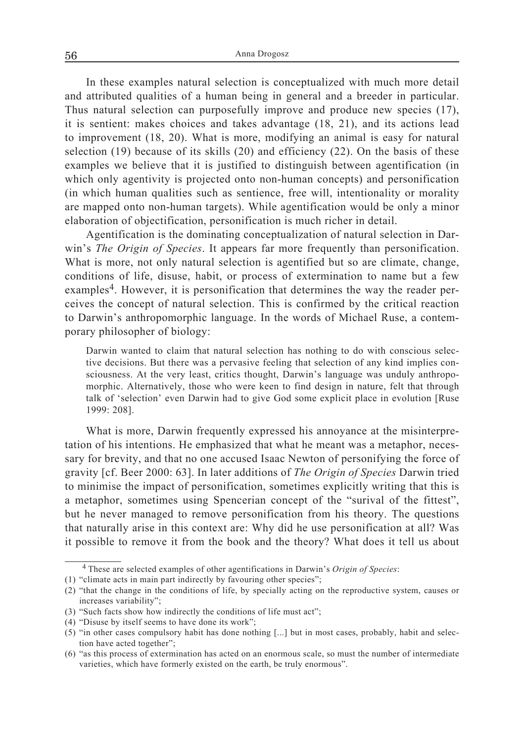In these examples natural selection is conceptualized with much more detail and attributed qualities of a human being in general and a breeder in particular. Thus natural selection can purposefully improve and produce new species (17), it is sentient: makes choices and takes advantage (18, 21), and its actions lead to improvement (18, 20). What is more, modifying an animal is easy for natural selection (19) because of its skills (20) and efficiency (22). On the basis of these examples we believe that it is justified to distinguish between agentification (in which only agentivity is projected onto non-human concepts) and personification (in which human qualities such as sentience, free will, intentionality or morality are mapped onto non-human targets). While agentification would be only a minor elaboration of objectification, personification is much richer in detail.

Agentification is the dominating conceptualization of natural selection in Darwin's *The Origin of Species*. It appears far more frequently than personification. What is more, not only natural selection is agentified but so are climate, change, conditions of life, disuse, habit, or process of extermination to name but a few examples<sup>4</sup>. However, it is personification that determines the way the reader perceives the concept of natural selection. This is confirmed by the critical reaction to Darwin's anthropomorphic language. In the words of Michael Ruse, a contemporary philosopher of biology:

Darwin wanted to claim that natural selection has nothing to do with conscious selective decisions. But there was a pervasive feeling that selection of any kind implies consciousness. At the very least, critics thought, Darwin's language was unduly anthropomorphic. Alternatively, those who were keen to find design in nature, felt that through talk of 'selection' even Darwin had to give God some explicit place in evolution [Ruse 1999: 208].

What is more, Darwin frequently expressed his annoyance at the misinterpretation of his intentions. He emphasized that what he meant was a metaphor, necessary for brevity, and that no one accused Isaac Newton of personifying the force of gravity [cf. Beer 2000: 63]. In later additions of *The Origin of Species* Darwin tried to minimise the impact of personification, sometimes explicitly writing that this is a metaphor, sometimes using Spencerian concept of the "surival of the fittest", but he never managed to remove personification from his theory. The questions that naturally arise in this context are: Why did he use personification at all? Was it possible to remove it from the book and the theory? What does it tell us about

<sup>4</sup> These are selected examples of other agentifications in Darwin's *Origin of Species*:

<sup>(1) &</sup>quot;climate acts in main part indirectly by favouring other species";

<sup>(2) &</sup>quot;that the change in the conditions of life, by specially acting on the reproductive system, causes or increases variability";

<sup>(3) &</sup>quot;Such facts show how indirectly the conditions of life must act";

<sup>(4) &</sup>quot;Disuse by itself seems to have done its work";

<sup>(5) &</sup>quot;in other cases compulsory habit has done nothing [...] but in most cases, probably, habit and selection have acted together";

<sup>(6) &</sup>quot;as this process of extermination has acted on an enormous scale, so must the number of intermediate varieties, which have formerly existed on the earth, be truly enormous".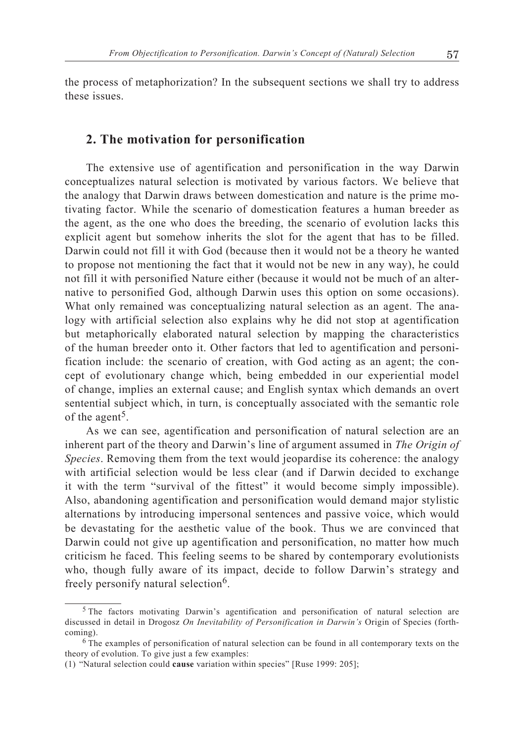the process of metaphorization? In the subsequent sections we shall try to address these issues.

### **2. The motivation for personification**

The extensive use of agentification and personification in the way Darwin conceptualizes natural selection is motivated by various factors. We believe that the analogy that Darwin draws between domestication and nature is the prime motivating factor. While the scenario of domestication features a human breeder as the agent, as the one who does the breeding, the scenario of evolution lacks this explicit agent but somehow inherits the slot for the agent that has to be filled. Darwin could not fill it with God (because then it would not be a theory he wanted to propose not mentioning the fact that it would not be new in any way), he could not fill it with personified Nature either (because it would not be much of an alternative to personified God, although Darwin uses this option on some occasions). What only remained was conceptualizing natural selection as an agent. The analogy with artificial selection also explains why he did not stop at agentification but metaphorically elaborated natural selection by mapping the characteristics of the human breeder onto it. Other factors that led to agentification and personification include: the scenario of creation, with God acting as an agent; the concept of evolutionary change which, being embedded in our experiential model of change, implies an external cause; and English syntax which demands an overt sentential subject which, in turn, is conceptually associated with the semantic role of the agent<sup>5</sup>.

As we can see, agentification and personification of natural selection are an inherent part of the theory and Darwin's line of argument assumed in *The Origin of Species*. Removing them from the text would jeopardise its coherence: the analogy with artificial selection would be less clear (and if Darwin decided to exchange it with the term "survival of the fittest" it would become simply impossible). Also, abandoning agentification and personification would demand major stylistic alternations by introducing impersonal sentences and passive voice, which would be devastating for the aesthetic value of the book. Thus we are convinced that Darwin could not give up agentification and personification, no matter how much criticism he faced. This feeling seems to be shared by contemporary evolutionists who, though fully aware of its impact, decide to follow Darwin's strategy and freely personify natural selection<sup>6</sup>.

<sup>5</sup> The factors motivating Darwin's agentification and personification of natural selection are discussed in detail in Drogosz *On Inevitability of Personification in Darwin's* Origin of Species (forthcoming).

<sup>6</sup> The examples of personification of natural selection can be found in all contemporary texts on the theory of evolution. To give just a few examples:

<sup>(1) &</sup>quot;Natural selection could **cause** variation within species" [Ruse 1999: 205];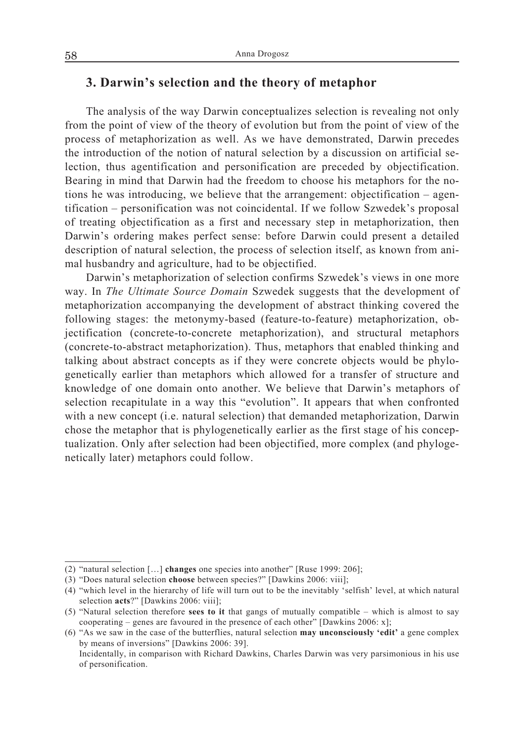# **3. Darwin's selection and the theory of metaphor**

The analysis of the way Darwin conceptualizes selection is revealing not only from the point of view of the theory of evolution but from the point of view of the process of metaphorization as well. As we have demonstrated, Darwin precedes the introduction of the notion of natural selection by a discussion on artificial selection, thus agentification and personification are preceded by objectification. Bearing in mind that Darwin had the freedom to choose his metaphors for the notions he was introducing, we believe that the arrangement: objectification – agentification – personification was not coincidental. If we follow Szwedek's proposal of treating objectification as a first and necessary step in metaphorization, then Darwin's ordering makes perfect sense: before Darwin could present a detailed description of natural selection, the process of selection itself, as known from animal husbandry and agriculture, had to be objectified.

Darwin's metaphorization of selection confirms Szwedek's views in one more way. In *The Ultimate Source Domain* Szwedek suggests that the development of metaphorization accompanying the development of abstract thinking covered the following stages: the metonymy-based (feature-to-feature) metaphorization, objectification (concrete-to-concrete metaphorization), and structural metaphors (concrete-to-abstract metaphorization). Thus, metaphors that enabled thinking and talking about abstract concepts as if they were concrete objects would be phylogenetically earlier than metaphors which allowed for a transfer of structure and knowledge of one domain onto another. We believe that Darwin's metaphors of selection recapitulate in a way this "evolution". It appears that when confronted with a new concept (i.e. natural selection) that demanded metaphorization, Darwin chose the metaphor that is phylogenetically earlier as the first stage of his conceptualization. Only after selection had been objectified, more complex (and phylogenetically later) metaphors could follow.

<sup>(2) &</sup>quot;natural selection […] **changes** one species into another" [Ruse 1999: 206];

<sup>(3) &</sup>quot;Does natural selection **choose** between species?" [Dawkins 2006: viii];

<sup>(4) &</sup>quot;which level in the hierarchy of life will turn out to be the inevitably 'selfish' level, at which natural selection **acts**?" [Dawkins 2006: viii];

<sup>(5) &</sup>quot;Natural selection therefore **sees to it** that gangs of mutually compatible – which is almost to say cooperating – genes are favoured in the presence of each other" [Dawkins 2006: x];

<sup>(6) &</sup>quot;As we saw in the case of the butterflies, natural selection **may unconsciously 'edit'** a gene complex by means of inversions" [Dawkins 2006: 39].

Incidentally, in comparison with Richard Dawkins, Charles Darwin was very parsimonious in his use of personification.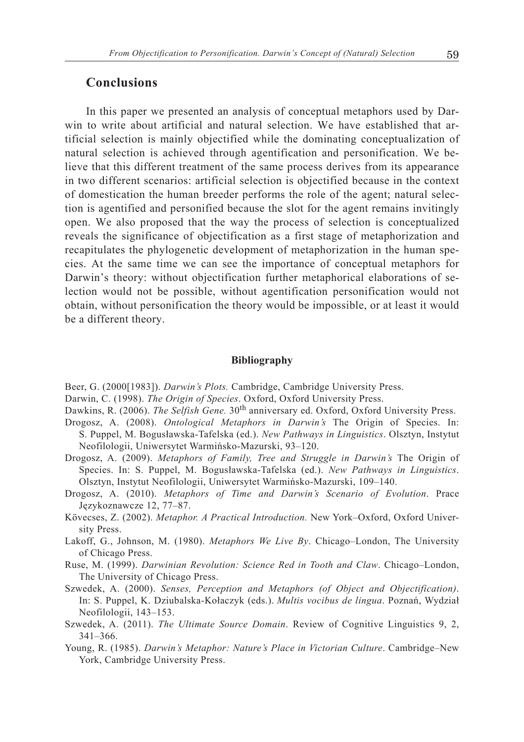### **Conclusions**

In this paper we presented an analysis of conceptual metaphors used by Darwin to write about artificial and natural selection. We have established that artificial selection is mainly objectified while the dominating conceptualization of natural selection is achieved through agentification and personification. We believe that this different treatment of the same process derives from its appearance in two different scenarios: artificial selection is objectified because in the context of domestication the human breeder performs the role of the agent; natural selection is agentified and personified because the slot for the agent remains invitingly open. We also proposed that the way the process of selection is conceptualized reveals the significance of objectification as a first stage of metaphorization and recapitulates the phylogenetic development of metaphorization in the human species. At the same time we can see the importance of conceptual metaphors for Darwin's theory: without objectification further metaphorical elaborations of selection would not be possible, without agentification personification would not obtain, without personification the theory would be impossible, or at least it would be a different theory.

#### **Bibliography**

Beer, G. (2000[1983]). *Darwin's Plots.* Cambridge, Cambridge University Press.

- Darwin, C. (1998). *The Origin of Species*. Oxford, Oxford University Press.
- Dawkins, R. (2006). *The Selfish Gene*. 30<sup>th</sup> anniversary ed. Oxford, Oxford University Press.
- Drogosz, A. (2008). *Ontological Metaphors in Darwin's* The Origin of Species. In: S. Puppel, M. Bogusławska-Tafelska (ed.). *New Pathways in Linguistics*. Olsztyn, Instytut Neofilologii, Uniwersytet Warmińsko-Mazurski, 93–120.
- Drogosz, A. (2009). *Metaphors of Family, Tree and Struggle in Darwin's* The Origin of Species. In: S. Puppel, M. Bogusławska-Tafelska (ed.). *New Pathways in Linguistics*. Olsztyn, Instytut Neofilologii, Uniwersytet Warmińsko-Mazurski, 109–140.
- Drogosz, A. (2010). *Metaphors of Time and Darwin's Scenario of Evolution*. Prace Językoznawcze 12, 77–87.
- Kövecses, Z. (2002). *Metaphor. A Practical Introduction.* New York–Oxford, Oxford University Press.
- Lakoff, G., Johnson, M. (1980). *Metaphors We Live By*. Chicago–London, The University of Chicago Press.
- Ruse, M. (1999). *Darwinian Revolution: Science Red in Tooth and Claw*. Chicago–London, The University of Chicago Press.
- Szwedek, A. (2000). *Senses, Perception and Metaphors (of Object and Objectification)*. In: S. Puppel, K. Dziubalska-Kołaczyk (eds.). *Multis vocibus de lingua*. Poznań, Wydział Neofilologii, 143–153.
- Szwedek, A. (2011). *The Ultimate Source Domain*. Review of Cognitive Linguistics 9, 2, 341–366.
- Young, R. (1985). *Darwin's Metaphor: Nature's Place in Victorian Culture*. Cambridge–New York, Cambridge University Press.